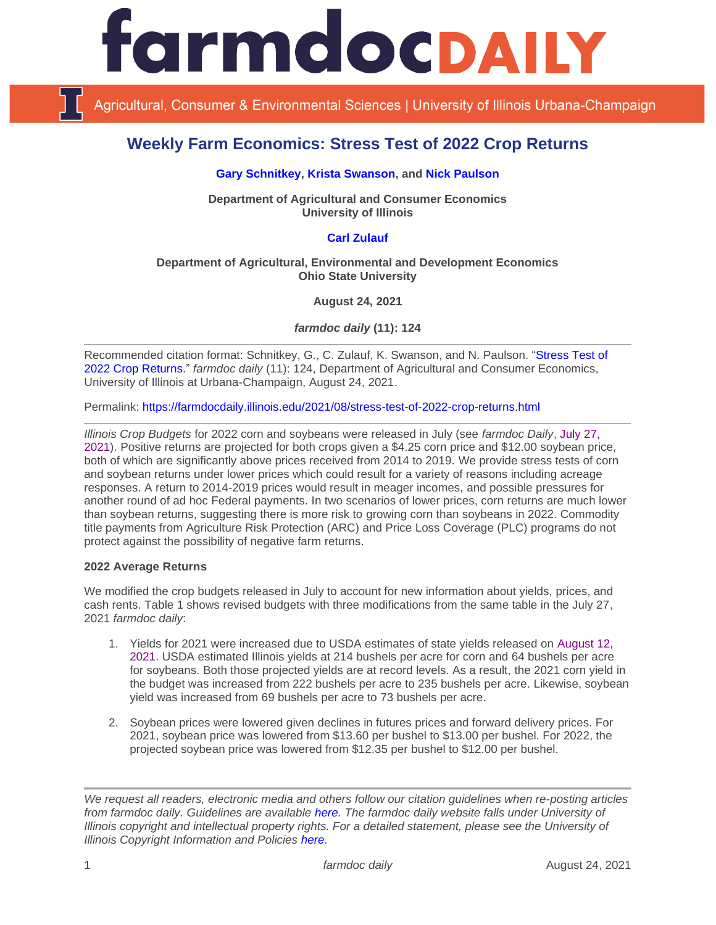

Agricultural, Consumer & Environmental Sciences | University of Illinois Urbana-Champaign

# **Weekly Farm Economics: Stress Test of 2022 Crop Returns**

#### **[Gary Schnitkey,](https://ace.illinois.edu/directory/schnitke) [Krista Swanson,](https://ace.illinois.edu/directory/krista) and [Nick Paulson](https://ace.illinois.edu/directory/npaulson)**

**Department of Agricultural and Consumer Economics University of Illinois**

## **[Carl Zulauf](http://aede.osu.edu/our-people/carl-zulauf)**

#### **Department of Agricultural, Environmental and Development Economics Ohio State University**

**August 24, 2021**

*farmdoc daily* **(11): 124**

Recommended citation format: Schnitkey, G., C. Zulauf, K. Swanson, and N. Paulson. ["Stress Test of](https://farmdocdaily.illinois.edu/2021/08/stress-test-of-2022-crop-returns.html)  [2022 Crop Returns.](https://farmdocdaily.illinois.edu/2021/08/stress-test-of-2022-crop-returns.html)" *farmdoc daily* (11): 124, Department of Agricultural and Consumer Economics, University of Illinois at Urbana-Champaign, August 24, 2021.

Permalink:<https://farmdocdaily.illinois.edu/2021/08/stress-test-of-2022-crop-returns.html>

*Illinois Crop Budgets* for 2022 corn and soybeans were released in July (see *farmdoc Daily*, [July 27,](https://farmdocdaily.illinois.edu/2021/07/2022-crop-budgets-contain-higher-costs.html)  [2021\)](https://farmdocdaily.illinois.edu/2021/07/2022-crop-budgets-contain-higher-costs.html). Positive returns are projected for both crops given a \$4.25 corn price and \$12.00 soybean price, both of which are significantly above prices received from 2014 to 2019. We provide stress tests of corn and soybean returns under lower prices which could result for a variety of reasons including acreage responses. A return to 2014-2019 prices would result in meager incomes, and possible pressures for another round of ad hoc Federal payments. In two scenarios of lower prices, corn returns are much lower than soybean returns, suggesting there is more risk to growing corn than soybeans in 2022. Commodity title payments from Agriculture Risk Protection (ARC) and Price Loss Coverage (PLC) programs do not protect against the possibility of negative farm returns.

#### **2022 Average Returns**

We modified the crop budgets released in July to account for new information about yields, prices, and cash rents. Table 1 shows revised budgets with three modifications from the same table in the July 27, 2021 *farmdoc daily*:

- 1. Yields for 2021 were increased due to USDA estimates of state yields released on [August 12,](https://usda.library.cornell.edu/concern/publications/tm70mv177)  [2021.](https://usda.library.cornell.edu/concern/publications/tm70mv177) USDA estimated Illinois yields at 214 bushels per acre for corn and 64 bushels per acre for soybeans. Both those projected yields are at record levels. As a result, the 2021 corn yield in the budget was increased from 222 bushels per acre to 235 bushels per acre. Likewise, soybean yield was increased from 69 bushels per acre to 73 bushels per acre.
- 2. Soybean prices were lowered given declines in futures prices and forward delivery prices. For 2021, soybean price was lowered from \$13.60 per bushel to \$13.00 per bushel. For 2022, the projected soybean price was lowered from \$12.35 per bushel to \$12.00 per bushel.

*We request all readers, electronic media and others follow our citation guidelines when re-posting articles from farmdoc daily. Guidelines are available [here.](http://farmdocdaily.illinois.edu/citationguide.html) The farmdoc daily website falls under University of Illinois copyright and intellectual property rights. For a detailed statement, please see the University of Illinois Copyright Information and Policies [here.](http://www.cio.illinois.edu/policies/copyright/)*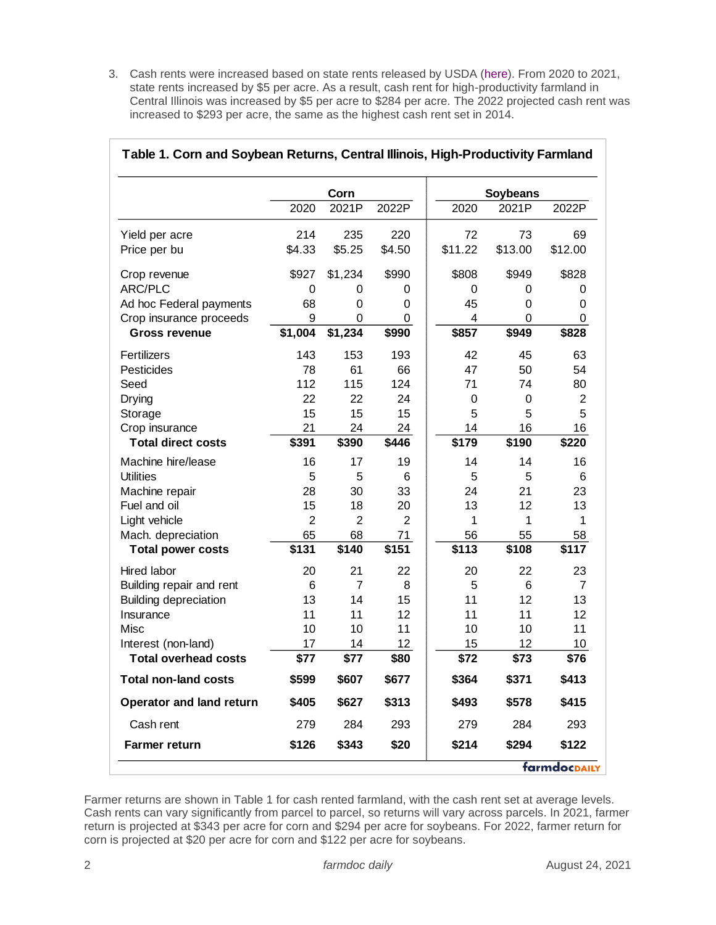3. Cash rents were increased based on state rents released by USDA [\(here\)](https://www.nass.usda.gov/Publications/Calendar/reports_by_date.php?month=08). From 2020 to 2021, state rents increased by \$5 per acre. As a result, cash rent for high-productivity farmland in Central Illinois was increased by \$5 per acre to \$284 per acre. The 2022 projected cash rent was increased to \$293 per acre, the same as the highest cash rent set in 2014.

|                              | Corn           |                |                | <b>Soybeans</b> |         |                |
|------------------------------|----------------|----------------|----------------|-----------------|---------|----------------|
|                              | 2020           | 2021P          | 2022P          | 2020            | 2021P   | 2022P          |
| Yield per acre               | 214            | 235            | 220            | 72              | 73      | 69             |
| Price per bu                 | \$4.33         | \$5.25         | \$4.50         | \$11.22         | \$13.00 | \$12.00        |
| Crop revenue                 | \$927          | \$1,234        | \$990          | \$808           | \$949   | \$828          |
| <b>ARC/PLC</b>               | $\mathbf 0$    | 0              | 0              | 0               | 0       | 0              |
| Ad hoc Federal payments      | 68             | 0              | 0              | 45              | 0       | 0              |
| Crop insurance proceeds      | 9              | $\Omega$       | 0              | 4               | 0       | 0              |
| <b>Gross revenue</b>         | \$1,004        | \$1,234        | \$990          | \$857           | \$949   | \$828          |
| Fertilizers                  | 143            | 153            | 193            | 42              | 45      | 63             |
| Pesticides                   | 78             | 61             | 66             | 47              | 50      | 54             |
| Seed                         | 112            | 115            | 124            | 71              | 74      | 80             |
| Drying                       | 22             | 22             | 24             | 0               | 0       | $\overline{2}$ |
| Storage                      | 15             | 15             | 15             | 5               | 5       | 5              |
| Crop insurance               | 21             | 24             | 24             | 14              | 16      | 16             |
| <b>Total direct costs</b>    | \$391          | \$390          | \$446          | \$179           | \$190   | \$220          |
| Machine hire/lease           | 16             | 17             | 19             | 14              | 14      | 16             |
| <b>Utilities</b>             | 5              | 5              | 6              | 5               | 5       | 6              |
| Machine repair               | 28             | 30             | 33             | 24              | 21      | 23             |
| Fuel and oil                 | 15             | 18             | 20             | 13              | 12      | 13             |
| Light vehicle                | $\overline{2}$ | $\overline{2}$ | $\overline{2}$ | 1               | 1       | 1              |
| Mach. depreciation           | 65             | 68             | 71             | 56              | 55      | 58             |
| <b>Total power costs</b>     | \$131          | \$140          | \$151          | \$113           | \$108   | \$117          |
| Hired labor                  | 20             | 21             | 22             | 20              | 22      | 23             |
| Building repair and rent     | $\,6$          | $\overline{7}$ | 8              | 5               | 6       | $\overline{7}$ |
| <b>Building depreciation</b> | 13             | 14             | 15             | 11              | 12      | 13             |
| Insurance                    | 11             | 11             | 12             | 11              | 11      | 12             |
| Misc                         | 10             | 10             | 11             | 10              | 10      | 11             |
| Interest (non-land)          | 17             | 14             | 12             | 15              | 12      | 10             |
| <b>Total overhead costs</b>  | \$77           | \$77           | \$80           | \$72            | \$73    | \$76           |
| <b>Total non-land costs</b>  | \$599          | \$607          | \$677          | \$364           | \$371   | \$413          |
| Operator and land return     | \$405          | \$627          | \$313          | \$493           | \$578   | \$415          |
| Cash rent                    | 279            | 284            | 293            | 279             | 284     | 293            |
| <b>Farmer return</b>         | \$126          | \$343          | \$20           | \$214           | \$294   | \$122          |

# **Table 1. Corn and Soybean Returns, Central Illinois, High-Productivity Farmland**

Farmer returns are shown in Table 1 for cash rented farmland, with the cash rent set at average levels. Cash rents can vary significantly from parcel to parcel, so returns will vary across parcels. In 2021, farmer return is projected at \$343 per acre for corn and \$294 per acre for soybeans. For 2022, farmer return for corn is projected at \$20 per acre for corn and \$122 per acre for soybeans.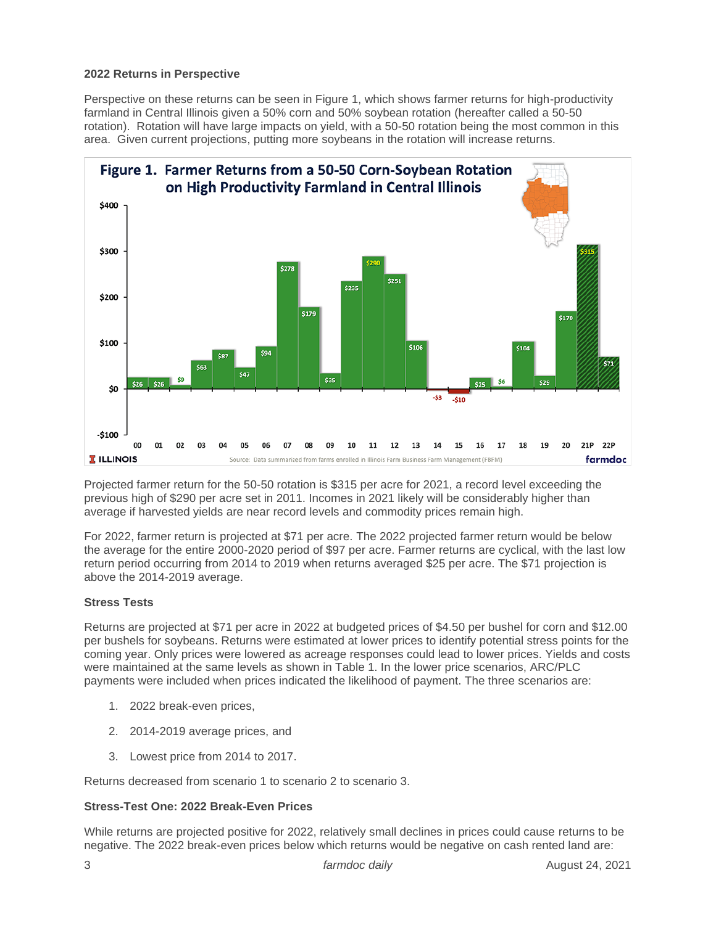#### **2022 Returns in Perspective**

Perspective on these returns can be seen in Figure 1, which shows farmer returns for high-productivity farmland in Central Illinois given a 50% corn and 50% soybean rotation (hereafter called a 50-50 rotation). Rotation will have large impacts on yield, with a 50-50 rotation being the most common in this area. Given current projections, putting more soybeans in the rotation will increase returns.



Projected farmer return for the 50-50 rotation is \$315 per acre for 2021, a record level exceeding the previous high of \$290 per acre set in 2011. Incomes in 2021 likely will be considerably higher than average if harvested yields are near record levels and commodity prices remain high.

For 2022, farmer return is projected at \$71 per acre. The 2022 projected farmer return would be below the average for the entire 2000-2020 period of \$97 per acre. Farmer returns are cyclical, with the last low return period occurring from 2014 to 2019 when returns averaged \$25 per acre. The \$71 projection is above the 2014-2019 average.

#### **Stress Tests**

Returns are projected at \$71 per acre in 2022 at budgeted prices of \$4.50 per bushel for corn and \$12.00 per bushels for soybeans. Returns were estimated at lower prices to identify potential stress points for the coming year. Only prices were lowered as acreage responses could lead to lower prices. Yields and costs were maintained at the same levels as shown in Table 1. In the lower price scenarios, ARC/PLC payments were included when prices indicated the likelihood of payment. The three scenarios are:

- 1. 2022 break-even prices,
- 2. 2014-2019 average prices, and
- 3. Lowest price from 2014 to 2017.

Returns decreased from scenario 1 to scenario 2 to scenario 3.

#### **Stress-Test One: 2022 Break-Even Prices**

While returns are projected positive for 2022, relatively small declines in prices could cause returns to be negative. The 2022 break-even prices below which returns would be negative on cash rented land are: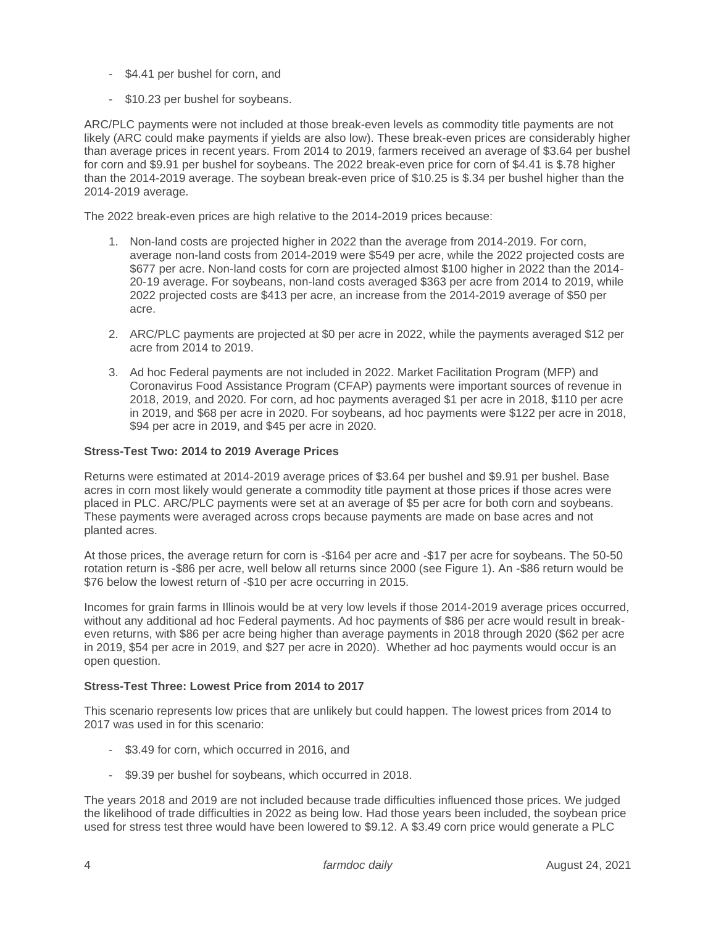- \$4.41 per bushel for corn, and
- \$10.23 per bushel for soybeans.

ARC/PLC payments were not included at those break-even levels as commodity title payments are not likely (ARC could make payments if yields are also low). These break-even prices are considerably higher than average prices in recent years. From 2014 to 2019, farmers received an average of \$3.64 per bushel for corn and \$9.91 per bushel for soybeans. The 2022 break-even price for corn of \$4.41 is \$.78 higher than the 2014-2019 average. The soybean break-even price of \$10.25 is \$.34 per bushel higher than the 2014-2019 average.

The 2022 break-even prices are high relative to the 2014-2019 prices because:

- 1. Non-land costs are projected higher in 2022 than the average from 2014-2019. For corn, average non-land costs from 2014-2019 were \$549 per acre, while the 2022 projected costs are \$677 per acre. Non-land costs for corn are projected almost \$100 higher in 2022 than the 2014- 20-19 average. For soybeans, non-land costs averaged \$363 per acre from 2014 to 2019, while 2022 projected costs are \$413 per acre, an increase from the 2014-2019 average of \$50 per acre.
- 2. ARC/PLC payments are projected at \$0 per acre in 2022, while the payments averaged \$12 per acre from 2014 to 2019.
- 3. Ad hoc Federal payments are not included in 2022. Market Facilitation Program (MFP) and Coronavirus Food Assistance Program (CFAP) payments were important sources of revenue in 2018, 2019, and 2020. For corn, ad hoc payments averaged \$1 per acre in 2018, \$110 per acre in 2019, and \$68 per acre in 2020. For soybeans, ad hoc payments were \$122 per acre in 2018, \$94 per acre in 2019, and \$45 per acre in 2020.

#### **Stress-Test Two: 2014 to 2019 Average Prices**

Returns were estimated at 2014-2019 average prices of \$3.64 per bushel and \$9.91 per bushel. Base acres in corn most likely would generate a commodity title payment at those prices if those acres were placed in PLC. ARC/PLC payments were set at an average of \$5 per acre for both corn and soybeans. These payments were averaged across crops because payments are made on base acres and not planted acres.

At those prices, the average return for corn is -\$164 per acre and -\$17 per acre for soybeans. The 50-50 rotation return is -\$86 per acre, well below all returns since 2000 (see Figure 1). An -\$86 return would be \$76 below the lowest return of -\$10 per acre occurring in 2015.

Incomes for grain farms in Illinois would be at very low levels if those 2014-2019 average prices occurred, without any additional ad hoc Federal payments. Ad hoc payments of \$86 per acre would result in breakeven returns, with \$86 per acre being higher than average payments in 2018 through 2020 (\$62 per acre in 2019, \$54 per acre in 2019, and \$27 per acre in 2020). Whether ad hoc payments would occur is an open question.

### **Stress-Test Three: Lowest Price from 2014 to 2017**

This scenario represents low prices that are unlikely but could happen. The lowest prices from 2014 to 2017 was used in for this scenario:

- \$3.49 for corn, which occurred in 2016, and
- \$9.39 per bushel for soybeans, which occurred in 2018.

The years 2018 and 2019 are not included because trade difficulties influenced those prices. We judged the likelihood of trade difficulties in 2022 as being low. Had those years been included, the soybean price used for stress test three would have been lowered to \$9.12. A \$3.49 corn price would generate a PLC